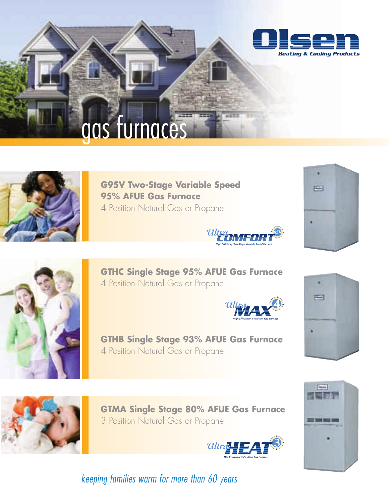

# gas furnaces



**G95V Two-Stage Variable Speed 95% AFUE Gas Furnace** 4 Position Natural Gas or Propane







**GTHC Single Stage 95% AFUE Gas Furnace** 4 Position Natural Gas or Propane





**GTHB Single Stage 93% AFUE Gas Furnace** 4 Position Natural Gas or Propane



**GTMA Single Stage 80% AFUE Gas Furnace** 3 Position Natural Gas or Propane





*keeping families warm for more than 60 years*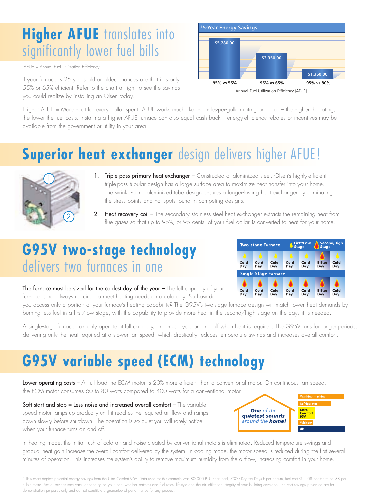## **Higher AFUE** translates into significantly lower fuel bills

(AFUE = Annual Fuel Utilization Efficiency)

If your furnace is 25 years old or older, chances are that it is only 55% or 65% efficient. Refer to the chart at right to see the savings you could realize by installing an Olsen today.



Higher AFUE = More heat for every dollar spent. AFUE works much like the miles-per-gallon rating on a car – the higher the rating, the lower the fuel costs. Installing a higher AFUE furnace can also equal cash back – energy-efficiency rebates or incentives may be available from the government or utility in your area.

## **Superior heat exchanger** design delivers higher AFUE!



- 1. Triple pass primary heat exchanger Constructed of aluminized steel, Olsen's highly-efficient triple-pass tubular design has a large surface area to maximize heat transfer into your home. The wrinkle-bend aluminized tube design ensures a longer-lasting heat exchanger by eliminating the stress points and hot spots found in competing designs.
- 2. Heat recovery coil The secondary stainless steel heat exchanger extracts the remaining heat from flue gases so that up to 95%, or 95 cents, of your fuel dollar is converted to heat for your home.

### **G95V two-stage technology** delivers two furnaces in one



The furnace must be sized for the coldest day of the year - The full capacity of your furnace is not always required to meet heating needs on a cold day. So how do

you access only a portion of your furnace's heating capability? The G95V's two-stage furnace design will match lower heat demands by burning less fuel in a first/low stage, with the capability to provide more heat in the second/high stage on the days it is needed.

A single-stage furnace can only operate at full capacity, and must cycle on and off when heat is required. The G95V runs for longer periods, delivering only the heat required at a slower fan speed, which drastically reduces temperature swings and increases overall comfort.

## **G95V variable speed (ECM) technology**

Lower operating costs – At full load the ECM motor is 20% more efficient than a conventional motor. On continuous fan speed, the ECM motor consumes 60 to 80 watts compared to 400 watts for a conventional motor.

Soft start and stop = Less noise and increased overall comfort - The variable speed motor ramps up gradually until it reaches the required air flow and ramps down slowly before shutdown. The operation is so quiet you will rarely notice when your furnace turns on and off.



In heating mode, the initial rush of cold air and noise created by conventional motors is eliminated. Reduced temperature swings and gradual heat gain increase the overall comfort delivered by the system. In cooling mode, the motor speed is reduced during the first several minutes of operation. This increases the system's ability to remove maximum humidity from the airflow, increasing comfort in your home.

1 This chart depicts potential energy savings from the Ultra Comfort 95V. Data used for this example was 80,000 BTU heat load, 7000 Degree Days F per annum, fuel cost @ 1.08 per therm or .38 per cubic metre. Actual savings may vary, depending on your local weather patterns and fuel rates, lifestyle and the air infiltration integrity of your building envelope. The cost savings presented are for demonstration purposes only and do not constitute a guarantee of performance for any product.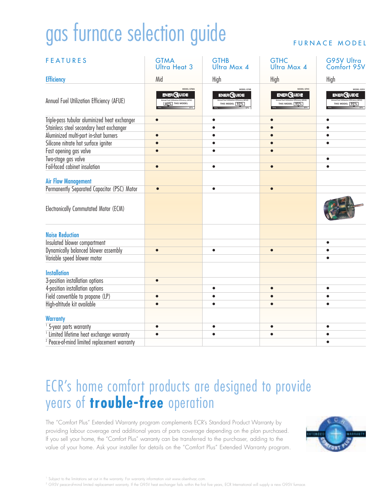# gas furnace selection guide

#### FURNACE MODEL

| <b>FEATURES</b>                                         | <b>GTMA</b><br>Ultra Heat 3                | <b>GTHB</b><br>Ultra Max 4                 | <b>GTHC</b><br>Ultra Max 4                       | G95V Ultra<br>Comfort 95V                        |  |
|---------------------------------------------------------|--------------------------------------------|--------------------------------------------|--------------------------------------------------|--------------------------------------------------|--|
| <b>Efficiency</b>                                       | Mid                                        | High                                       | High                                             | High                                             |  |
| Annual Fuel Utilization Efficiency (AFUE)               | MODEL GTMA<br>ENER GUIDE<br>80% THIS MODEL | MODEL GTHB<br>ENER GUIDE<br>THIS MODEL 93% | MODEL GTHC<br><b>ENERGUIDE</b><br>THIS MODEL 95% | MODEL G95\<br><b>ENERGUIDE</b><br>THIS MODEL 95% |  |
| Triple-pass tubular aluminized heat exchanger           |                                            |                                            | $\bullet$                                        |                                                  |  |
| Stainless steel secondary heat exchanger                |                                            | $\bullet$                                  | $\bullet$                                        |                                                  |  |
| Aluminized multi-port in-shot burners                   | $\bullet$                                  | $\bullet$                                  | $\bullet$                                        | ė                                                |  |
| Silicone nitrate hot surface igniter                    | $\bullet$                                  | $\bullet$                                  | $\bullet$                                        |                                                  |  |
| Fast opening gas valve                                  |                                            | $\bullet$                                  | $\bullet$                                        |                                                  |  |
| Two-stage gas valve                                     |                                            |                                            |                                                  | $\bullet$                                        |  |
| Foil-faced cabinet insulation                           | $\bullet$                                  | $\bullet$                                  | $\bullet$                                        | $\bullet$                                        |  |
| <b>Air Flow Management</b>                              |                                            |                                            |                                                  |                                                  |  |
| Permanently Separated Capacitor (PSC) Motor             | $\bullet$                                  | $\bullet$                                  | $\bullet$                                        |                                                  |  |
| Electronically Commutated Motor (ECM)                   |                                            |                                            |                                                  |                                                  |  |
| <b>Noise Reduction</b>                                  |                                            |                                            |                                                  |                                                  |  |
| Insulated blower compartment                            |                                            |                                            |                                                  |                                                  |  |
| Dynamically balanced blower assembly                    |                                            | $\bullet$                                  | $\bullet$                                        |                                                  |  |
| Variable speed blower motor                             |                                            |                                            |                                                  |                                                  |  |
| <b>Installation</b>                                     |                                            |                                            |                                                  |                                                  |  |
| 3-position installation options                         |                                            |                                            |                                                  |                                                  |  |
| 4-position installation options                         |                                            | $\bullet$                                  |                                                  |                                                  |  |
| Field convertible to propane (LP)                       |                                            |                                            |                                                  |                                                  |  |
| High-altitude kit available                             |                                            | ٠                                          |                                                  |                                                  |  |
| <b>Warranty</b>                                         |                                            |                                            |                                                  |                                                  |  |
| <sup>1</sup> 5-year parts warranty                      |                                            |                                            |                                                  |                                                  |  |
| <sup>1</sup> Limited lifetime heat exchanger warranty   |                                            |                                            |                                                  |                                                  |  |
| <sup>2</sup> Peace-of-mind limited replacement warranty |                                            |                                            |                                                  |                                                  |  |
|                                                         |                                            |                                            |                                                  |                                                  |  |

### ECR's home comfort products are designed to provide years of **trouble-free** operation

The "Comfort Plus" Extended Warranty program complements ECR's Standard Product Warranty by providing labour coverage and additional years of parts coverage depending on the plan purchased. If you sell your home, the "Comfort Plus" warranty can be transferred to the purchaser, adding to the value of your home. Ask your installer for details on the "Comfort Plus" Extended Warranty program.



<sup>1</sup> Subject to the limitations set out in the warranty. For warranty information visit www.olsenhvac.com

2 G95V peace-of-mind limited replacement warranty. If the G95V heat exchanger fails within the first five years, ECR International will supply a new G95V furnace.